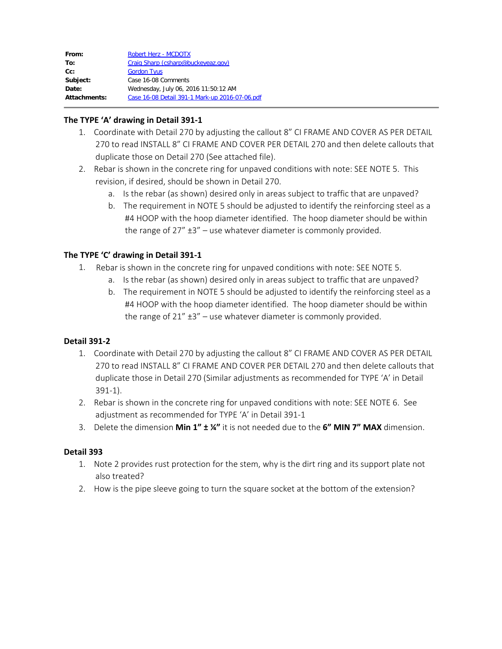| From:        | Robert Herz - MCDOTX                           |
|--------------|------------------------------------------------|
| To:          | Craig Sharp (csharp@buckeyeaz.gov)             |
| Cc:          | <b>Gordon Tyus</b>                             |
| Subject:     | Case 16-08 Comments                            |
| Date:        | Wednesday, July 06, 2016 11:50:12 AM           |
| Attachments: | Case 16-08 Detail 391-1 Mark-up 2016-07-06.pdf |
|              |                                                |

# **The TYPE 'A' drawing in Detail 391-1**

- 1. Coordinate with Detail 270 by adjusting the callout 8" CI FRAME AND COVER AS PER DETAIL 270 to read INSTALL 8" CI FRAME AND COVER PER DETAIL 270 and then delete callouts that duplicate those on Detail 270 (See attached file).
- 2. Rebar is shown in the concrete ring for unpaved conditions with note: SEE NOTE 5. This revision, if desired, should be shown in Detail 270.
	- a. Is the rebar (as shown) desired only in areas subject to traffic that are unpaved?
	- b. The requirement in NOTE 5 should be adjusted to identify the reinforcing steel as a #4 HOOP with the hoop diameter identified. The hoop diameter should be within the range of  $27'' + 3'' -$  use whatever diameter is commonly provided.

# **The TYPE 'C' drawing in Detail 391-1**

- 1. Rebar is shown in the concrete ring for unpaved conditions with note: SEE NOTE 5.
	- a. Is the rebar (as shown) desired only in areas subject to traffic that are unpaved?
	- b. The requirement in NOTE 5 should be adjusted to identify the reinforcing steel as a #4 HOOP with the hoop diameter identified. The hoop diameter should be within the range of  $21'' + 3'' -$  use whatever diameter is commonly provided.

### **Detail 391-2**

- 1. Coordinate with Detail 270 by adjusting the callout 8" CI FRAME AND COVER AS PER DETAIL 270 to read INSTALL 8" CI FRAME AND COVER PER DETAIL 270 and then delete callouts that duplicate those in Detail 270 (Similar adjustments as recommended for TYPE 'A' in Detail 391-1).
- 2. Rebar is shown in the concrete ring for unpaved conditions with note: SEE NOTE 6. See adjustment as recommended for TYPE 'A' in Detail 391-1
- 3. Delete the dimension **Min 1" ± ¼"** it is not needed due to the **6" MIN 7" MAX** dimension.

#### **Detail 393**

- 1. Note 2 provides rust protection for the stem, why is the dirt ring and its support plate not also treated?
- 2. How is the pipe sleeve going to turn the square socket at the bottom of the extension?